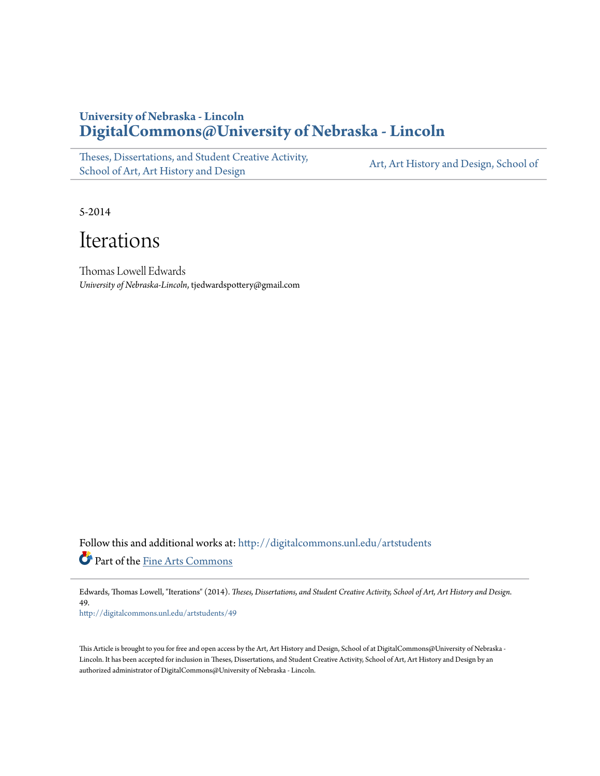# **University of Nebraska - Lincoln [DigitalCommons@University of Nebraska - Lincoln](http://digitalcommons.unl.edu?utm_source=digitalcommons.unl.edu%2Fartstudents%2F49&utm_medium=PDF&utm_campaign=PDFCoverPages)**

[Theses, Dissertations, and Student Creative Activity,](http://digitalcommons.unl.edu/artstudents?utm_source=digitalcommons.unl.edu%2Fartstudents%2F49&utm_medium=PDF&utm_campaign=PDFCoverPages) [School of Art, Art History and Design](http://digitalcommons.unl.edu/artstudents?utm_source=digitalcommons.unl.edu%2Fartstudents%2F49&utm_medium=PDF&utm_campaign=PDFCoverPages)

[Art, Art History and Design, School of](http://digitalcommons.unl.edu/art?utm_source=digitalcommons.unl.edu%2Fartstudents%2F49&utm_medium=PDF&utm_campaign=PDFCoverPages)

5-2014

# Iterations

Thomas Lowell Edwards *University of Nebraska-Lincoln*, tjedwardspottery@gmail.com

Follow this and additional works at: [http://digitalcommons.unl.edu/artstudents](http://digitalcommons.unl.edu/artstudents?utm_source=digitalcommons.unl.edu%2Fartstudents%2F49&utm_medium=PDF&utm_campaign=PDFCoverPages) Part of the [Fine Arts Commons](http://network.bepress.com/hgg/discipline/1141?utm_source=digitalcommons.unl.edu%2Fartstudents%2F49&utm_medium=PDF&utm_campaign=PDFCoverPages)

Edwards, Thomas Lowell, "Iterations" (2014). *Theses, Dissertations, and Student Creative Activity, School of Art, Art History and Design*. 49.

[http://digitalcommons.unl.edu/artstudents/49](http://digitalcommons.unl.edu/artstudents/49?utm_source=digitalcommons.unl.edu%2Fartstudents%2F49&utm_medium=PDF&utm_campaign=PDFCoverPages)

This Article is brought to you for free and open access by the Art, Art History and Design, School of at DigitalCommons@University of Nebraska - Lincoln. It has been accepted for inclusion in Theses, Dissertations, and Student Creative Activity, School of Art, Art History and Design by an authorized administrator of DigitalCommons@University of Nebraska - Lincoln.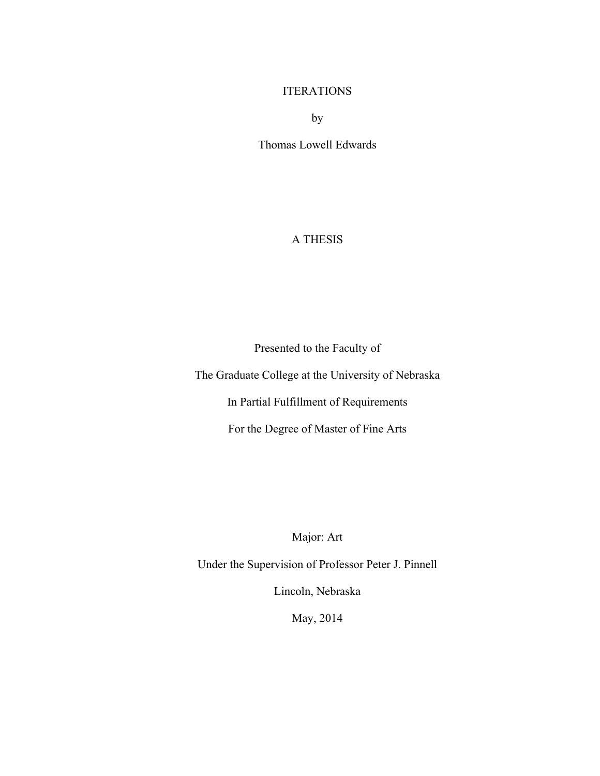### ITERATIONS

by

Thomas Lowell Edwards

## A THESIS

Presented to the Faculty of

The Graduate College at the University of Nebraska

In Partial Fulfillment of Requirements

For the Degree of Master of Fine Arts

Major: Art

Under the Supervision of Professor Peter J. Pinnell

Lincoln, Nebraska

May, 2014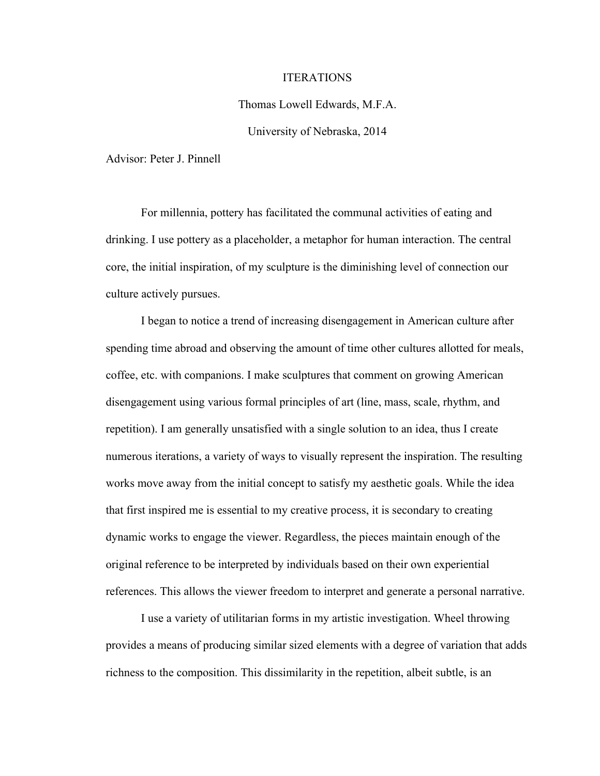#### **ITERATIONS**

#### Thomas Lowell Edwards, M.F.A.

University of Nebraska, 2014

Advisor: Peter J. Pinnell

For millennia, pottery has facilitated the communal activities of eating and drinking. I use pottery as a placeholder, a metaphor for human interaction. The central core, the initial inspiration, of my sculpture is the diminishing level of connection our culture actively pursues.

I began to notice a trend of increasing disengagement in American culture after spending time abroad and observing the amount of time other cultures allotted for meals, coffee, etc. with companions. I make sculptures that comment on growing American disengagement using various formal principles of art (line, mass, scale, rhythm, and repetition). I am generally unsatisfied with a single solution to an idea, thus I create numerous iterations, a variety of ways to visually represent the inspiration. The resulting works move away from the initial concept to satisfy my aesthetic goals. While the idea that first inspired me is essential to my creative process, it is secondary to creating dynamic works to engage the viewer. Regardless, the pieces maintain enough of the original reference to be interpreted by individuals based on their own experiential references. This allows the viewer freedom to interpret and generate a personal narrative.

I use a variety of utilitarian forms in my artistic investigation. Wheel throwing provides a means of producing similar sized elements with a degree of variation that adds richness to the composition. This dissimilarity in the repetition, albeit subtle, is an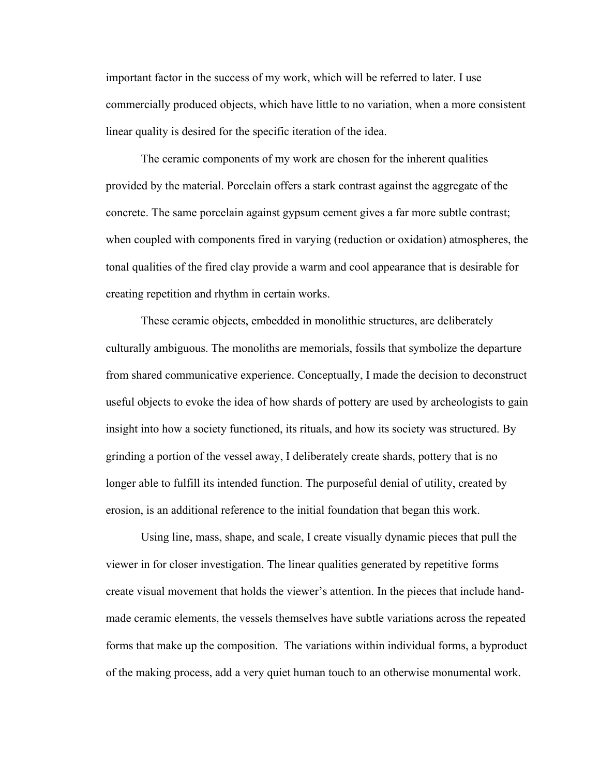important factor in the success of my work, which will be referred to later. I use commercially produced objects, which have little to no variation, when a more consistent linear quality is desired for the specific iteration of the idea.

The ceramic components of my work are chosen for the inherent qualities provided by the material. Porcelain offers a stark contrast against the aggregate of the concrete. The same porcelain against gypsum cement gives a far more subtle contrast; when coupled with components fired in varying (reduction or oxidation) atmospheres, the tonal qualities of the fired clay provide a warm and cool appearance that is desirable for creating repetition and rhythm in certain works.

These ceramic objects, embedded in monolithic structures, are deliberately culturally ambiguous. The monoliths are memorials, fossils that symbolize the departure from shared communicative experience. Conceptually, I made the decision to deconstruct useful objects to evoke the idea of how shards of pottery are used by archeologists to gain insight into how a society functioned, its rituals, and how its society was structured. By grinding a portion of the vessel away, I deliberately create shards, pottery that is no longer able to fulfill its intended function. The purposeful denial of utility, created by erosion, is an additional reference to the initial foundation that began this work.

Using line, mass, shape, and scale, I create visually dynamic pieces that pull the viewer in for closer investigation. The linear qualities generated by repetitive forms create visual movement that holds the viewer's attention. In the pieces that include handmade ceramic elements, the vessels themselves have subtle variations across the repeated forms that make up the composition. The variations within individual forms, a byproduct of the making process, add a very quiet human touch to an otherwise monumental work.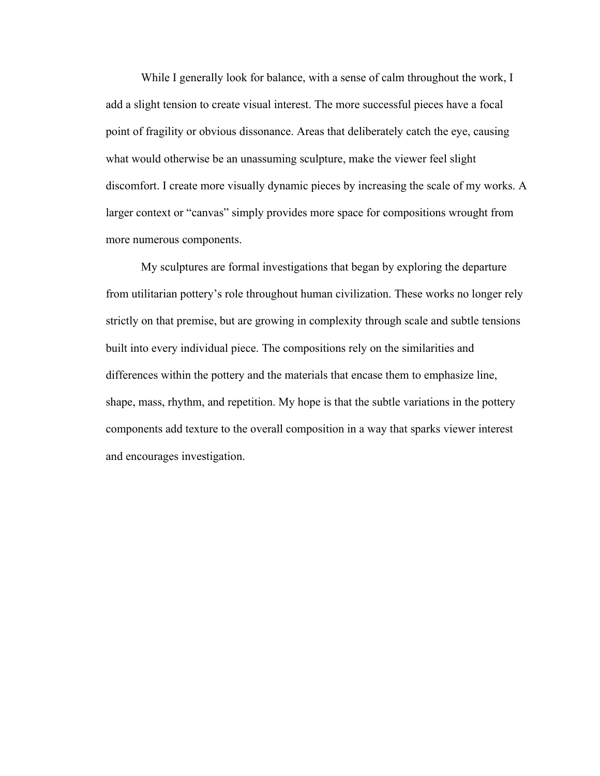While I generally look for balance, with a sense of calm throughout the work, I add a slight tension to create visual interest. The more successful pieces have a focal point of fragility or obvious dissonance. Areas that deliberately catch the eye, causing what would otherwise be an unassuming sculpture, make the viewer feel slight discomfort. I create more visually dynamic pieces by increasing the scale of my works. A larger context or "canvas" simply provides more space for compositions wrought from more numerous components.

My sculptures are formal investigations that began by exploring the departure from utilitarian pottery's role throughout human civilization. These works no longer rely strictly on that premise, but are growing in complexity through scale and subtle tensions built into every individual piece. The compositions rely on the similarities and differences within the pottery and the materials that encase them to emphasize line, shape, mass, rhythm, and repetition. My hope is that the subtle variations in the pottery components add texture to the overall composition in a way that sparks viewer interest and encourages investigation.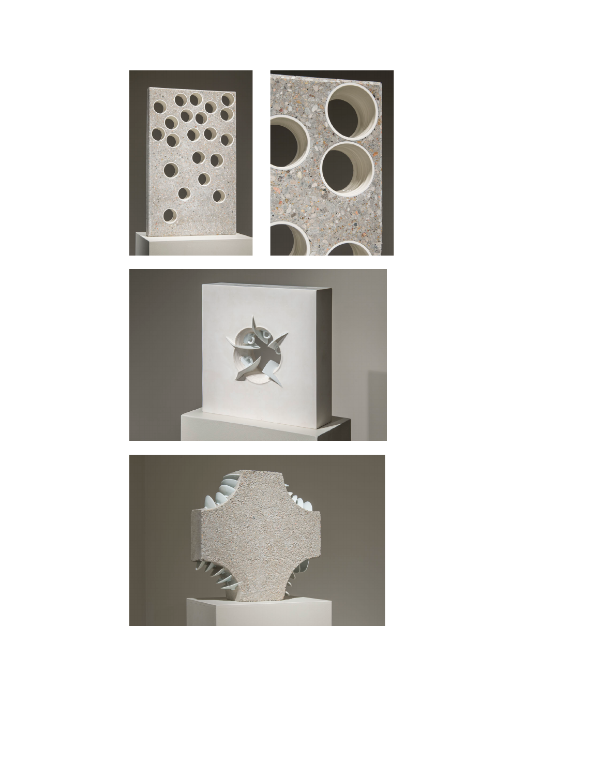